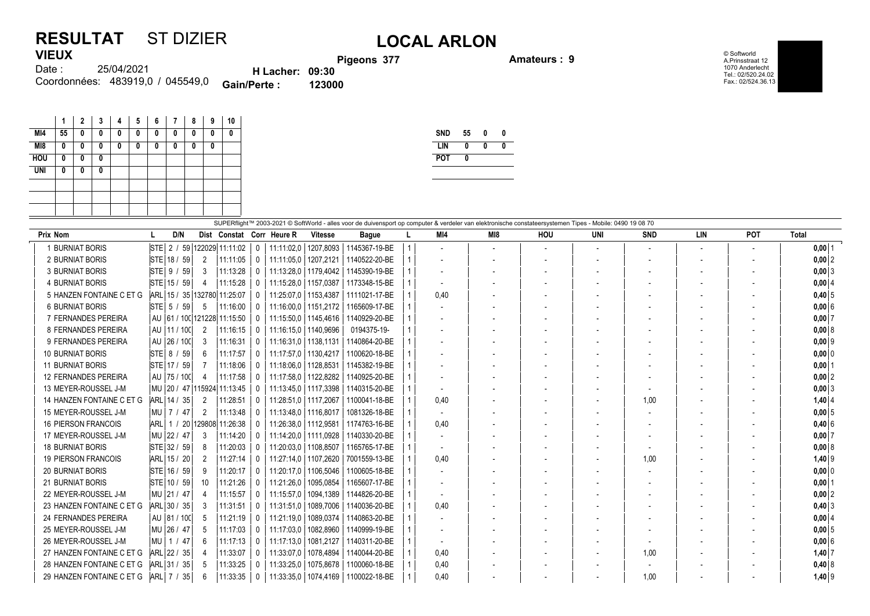## **RESULTAT** ST DIZIER<br>VIEUX<br>Pigeons 377 **VIEUX**

 $\mathcal{L}$ 

**Pigeons 377 Amateurs : 9**

© Softworld A.Prinsstraat 12 1070 Anderlecht Tel.: 02/520.24.02 Fax.: 02/524.36.13

| <b>TILV/1</b> |                                  |                        | Pige   |
|---------------|----------------------------------|------------------------|--------|
| Date :        | 25/04/2021                       | <b>H</b> Lacher: 09:30 |        |
|               | Coordonnées: 483919,0 / 045549,0 | <b>Gain/Perte:</b>     | 123000 |

|            | 1  | $\mathbf 2$ | 3 | 4 | 5 | 6 | 7 | 8 | 9 | 10       |
|------------|----|-------------|---|---|---|---|---|---|---|----------|
| MI4        | 55 | 0           | 0 | 0 | 0 | 0 | 0 | 0 | 0 | 0        |
| M18        | 0  | 0           | 0 | 0 | 0 | 0 | 0 | 0 | 0 |          |
| <b>HOU</b> | 0  | 0           | 0 |   |   |   |   |   |   |          |
| <b>UNI</b> | 0  | 0           | 0 |   |   |   |   |   |   |          |
|            |    |             |   |   |   |   |   |   |   |          |
|            |    |             |   |   |   |   |   |   |   |          |
|            |    |             |   |   |   |   |   |   |   |          |
|            |    |             |   |   |   |   |   |   |   | -------- |

| SND        | 55 | IJ |  |
|------------|----|----|--|
| I IN       | N  |    |  |
| <b>POT</b> |    |    |  |
|            |    |    |  |

| SUPERflight™ 2003-2021 © SoftWorld - alles voor de duivensport op computer & verdeler van elektronische constateersystemen Tipes - Mobile: 0490 19 08 70 |                                  |                |                    |              |                           |                |               |  |      |                          |            |            |            |     |            |          |
|----------------------------------------------------------------------------------------------------------------------------------------------------------|----------------------------------|----------------|--------------------|--------------|---------------------------|----------------|---------------|--|------|--------------------------|------------|------------|------------|-----|------------|----------|
| Prix Nom                                                                                                                                                 | D/N                              |                |                    |              | Dist Constat Corr Heure R | <b>Vitesse</b> | <b>Bague</b>  |  | MI4  | MI8                      | <b>HOU</b> | <b>UNI</b> | <b>SND</b> | LIN | <b>POT</b> | Total    |
| 1 BURNIAT BORIS                                                                                                                                          | $STE$ 2 /                        |                | 59 122029 11:11:02 | $\mathbf{0}$ | 11:11:02,0                | 1207,8093      | 1145367-19-BE |  |      | $\overline{\phantom{a}}$ |            |            |            |     |            | $0,00$ 1 |
| 2 BURNIAT BORIS                                                                                                                                          | STE 18 / 59                      | $\overline{2}$ | 11:11:05           | 0            | 11:11:05,0                | 1207,2121      | 1140522-20-BE |  |      | $\overline{\phantom{a}}$ |            |            |            |     |            | $0,00$ 2 |
| 3 BURNIAT BORIS                                                                                                                                          | $STE$ 9 /<br>-59                 | 3              | 11:13:28           | $\mathbf{0}$ | 11:13:28.0                | 1179,4042      | 1145390-19-BE |  |      |                          |            |            |            |     |            | $0,00$ 3 |
| <b>4 BURNIAT BORIS</b>                                                                                                                                   | STE 15 / 59                      | 4              | 11:15:28           |              | 11:15:28,0   1157,0387    |                | 1173348-15-BE |  |      |                          |            |            |            |     |            | $0,00$ 4 |
| 5 HANZEN FONTAINE C ET G                                                                                                                                 | ARL 15 / 35 132780 11:25:07      |                |                    | 0            | 11:25:07.0   1153.4387    |                | 1111021-17-BE |  | 0.40 |                          |            |            |            |     |            | $0,40$ 5 |
| <b>6 BURNIAT BORIS</b>                                                                                                                                   | $STE$ 5 /<br>59                  | 5              | 11:16:00           |              | 11:16:00,0   1151,2172    |                | 1165609-17-BE |  |      |                          |            |            |            |     |            | 0,006    |
| 7 FERNANDES PEREIRA                                                                                                                                      | AU   61 / 100  121228 11:15:50   |                |                    | 0            | 11:15:50.0   1145.4616    |                | 1140929-20-BE |  |      |                          |            |            |            |     |            | 0,007    |
| 8 FERNANDES PEREIRA                                                                                                                                      | AU<br>111/100                    | 2              | 11:16:15           | 0            | 11:16:15.0   1140.9696    |                | 0194375-19-   |  |      |                          |            |            |            |     |            | 0,008    |
| 9 FERNANDES PEREIRA                                                                                                                                      | AU<br> 26/100                    | 3              | 11:16:31           |              | 11:16:31,0   1138,1131    |                | 1140864-20-BE |  |      |                          |            |            |            |     |            | $0,00$ 9 |
| <b>10 BURNIAT BORIS</b>                                                                                                                                  | <b>STE</b><br>8/<br>59           | 6              | 11:17:57           | $\bf{0}$     | 11:17:57.0   1130.4217    |                | 1100620-18-BE |  |      |                          |            |            |            |     |            | $0,00$ 0 |
| <b>11 BURNIAT BORIS</b>                                                                                                                                  | STE 17 / 59                      |                | 11:18:06           | $\Omega$     | 11:18:06.0                | 1128,8531      | 1145382-19-BE |  |      |                          |            |            |            |     |            | $0,00$ 1 |
| <b>12 FERNANDES PEREIRA</b>                                                                                                                              | AU   75 / 100                    | Δ              | 11:17:58           |              | 11:17:58.0   1122.8282    |                | 1140925-20-BE |  |      |                          |            |            |            |     |            | $0,00$ 2 |
| 13 MEYER-ROUSSEL J-M                                                                                                                                     | MU   20 / 47   115924   11:13:45 |                |                    | 0            | 11:13:45,0   1117,3398    |                | 1140315-20-BE |  |      |                          |            |            |            |     |            | 0,003    |
| 14 HANZEN FONTAINE C ET G                                                                                                                                | ARL 14 /<br>35                   | 2              | 11:28:51           | 0            | 11:28:51,0   1117,2067    |                | 1100041-18-BE |  | 0,40 |                          |            |            | 1.00       |     |            | $1,40$ 4 |
| 15 MEYER-ROUSSEL J-M                                                                                                                                     | 17 I<br>47<br>  MU               | 2              | 11:13:48           |              | 11:13:48,0   1116,8017    |                | 1081326-18-BE |  |      |                          |            |            |            |     |            | $0,00$ 5 |
| <b>16 PIERSON FRANCOIS</b>                                                                                                                               | <b>ARL</b><br>1/                 |                | 20 129808 11:26:38 | 0            | 11:26:38,0   1112,9581    |                | 1174763-16-BE |  | 0,40 |                          |            |            |            |     |            | 0,40 6   |
| 17 MEYER-ROUSSEL J-M                                                                                                                                     | MU 22 / 47                       | 3              | 11:14:20           |              | 11:14:20.0   1111.0928    |                | 1140330-20-BE |  |      |                          |            |            |            |     |            | $0,00$ 7 |
| <b>18 BURNIAT BORIS</b>                                                                                                                                  | STE 32 / 59                      | 8              | 11:20:03           |              | 11:20:03,0                | 1108,8507      | 1165765-17-BE |  |      |                          |            |            |            |     |            | 0,008    |
| <b>19 PIERSON FRANCOIS</b>                                                                                                                               | ARL 15 / 20                      | 2              | 11:27:14           | $\Omega$     | 11:27:14.0                | 1107,2620      | 7001559-13-BE |  | 0.40 |                          |            |            | 1.00       |     |            | $1,40$ 9 |
| <b>20 BURNIAT BORIS</b>                                                                                                                                  | STE 16 / 59                      | 9              | 11:20:17           |              | 11:20:17,0   1106,5046    |                | 1100605-18-BE |  |      |                          |            |            |            |     |            | $0,00$ 0 |
| <b>21 BURNIAT BORIS</b>                                                                                                                                  | STE 10 / 59                      | 10             | 11:21:26           | $\bf{0}$     | 11:21:26,0                | 1095.0854      | 1165607-17-BE |  |      |                          |            |            |            |     |            | 0,00     |
| 22 MEYER-ROUSSEL J-M                                                                                                                                     | MU 21 / 47                       |                | 11:15:57           | $\Omega$     | 11:15:57,0                | 1094,1389      | 1144826-20-BE |  |      |                          |            |            |            |     |            | $0,00$ 2 |
| 23 HANZEN FONTAINE C ET G                                                                                                                                | ARL 30 / 35                      |                | 11:31:51           |              | 11:31:51.0                | 1089.7006      | 1140036-20-BE |  | 0,40 |                          |            |            |            |     |            | $0,40$ 3 |
| 24 FERNANDES PEREIRA                                                                                                                                     | AU 31 / 100                      | 5              | 11:21:19           | 0            | 11:21:19,0                | 1089,0374      | 1140863-20-BE |  |      |                          |            |            |            |     |            | $0,00$ 4 |
| 25 MEYER-ROUSSEL J-M                                                                                                                                     | MU 26 / 47                       | 5              | 11:17:03           | 0            | 11:17:03,0                | 1082,8960      | 1140999-19-BE |  |      |                          |            |            |            |     |            | $0,00$ 5 |
| 26 MEYER-ROUSSEL J-M                                                                                                                                     | l Mu<br>47<br>1/                 | 6              | 11:17:13           |              | 11:17:13.0                | 1081,2127      | 1140311-20-BE |  |      |                          |            |            |            |     |            | $0,00$ 6 |
| 27 HANZEN FONTAINE C ET G                                                                                                                                | ARL 22 / 35                      |                | 11:33:07           | 0            | 11:33:07,0                | 1078,4894      | 1140044-20-BE |  | 0,40 |                          |            |            | 1.00       |     |            | $1,40$ 7 |
| 28 HANZEN FONTAINE C ET G                                                                                                                                | ARL 31 / 35                      |                | 11:33:25           |              | 11:33:25.0                | 1075.8678      | 1100060-18-BE |  | 0,40 |                          |            |            |            |     |            | $0,40$ 8 |
| 29 HANZEN FONTAINE C ET G                                                                                                                                | ARL 7 /<br>35                    | 6              | 11:33:35           | 0            | 11:33:35,0   1074,4169    |                | 1100022-18-BE |  | 0.40 |                          |            |            | 1.00       |     |            | $1,40$ 9 |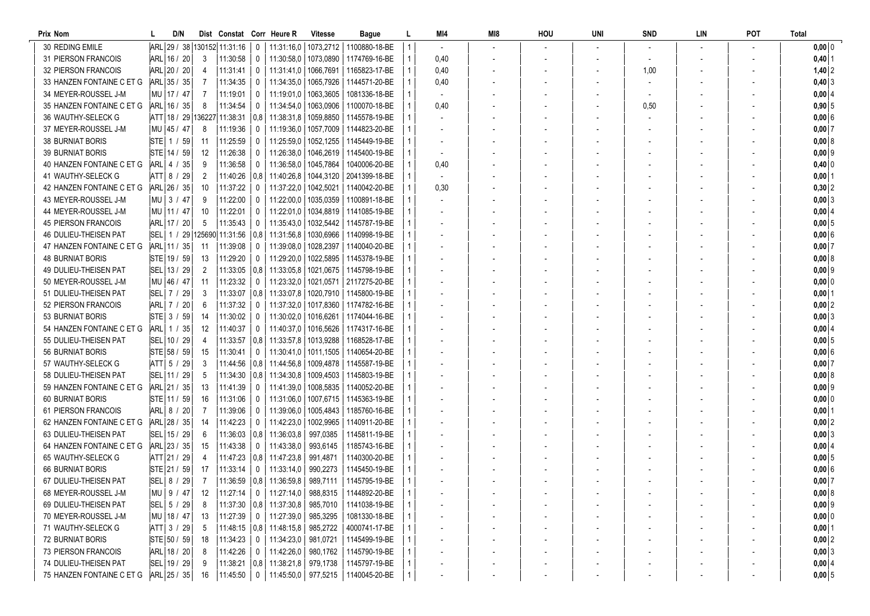| Prix Nom                                           | D/N                        |         | Dist Constat Corr Heure R         |               |                                                         | <b>Vitesse</b>       | Bague                                 | MI4  | MI8 | HOU | UNI | <b>SND</b> | LIN | <b>POT</b> | <b>Total</b>         |
|----------------------------------------------------|----------------------------|---------|-----------------------------------|---------------|---------------------------------------------------------|----------------------|---------------------------------------|------|-----|-----|-----|------------|-----|------------|----------------------|
| 30 REDING EMILE                                    |                            |         | ARL 29 / 38 130152 11:31:16       | 0             | 11:31:16,0                                              |                      | 1073.2712   1100880-18-BE             |      |     |     |     |            |     |            | $0,00$ 0             |
| 31 PIERSON FRANCOIS                                | ARL 16 / 20                | 3       | 11:30:58                          | 0             | 11:30:58,0                                              |                      | 1073,0890 1174769-16-BE               | 0.40 |     |     |     |            |     |            | $0,40$   1           |
| 32 PIERSON FRANCOIS                                | ARL 20 / 20                | 4       | 11:31:41                          | $\mathbf 0$   | 11:31:41,0                                              | 1066,7691            | 1165823-17-BE                         | 0.40 |     |     |     | 1,00       |     |            | $1,40$ 2             |
| 33 HANZEN FONTAINE C ET G                          | ARL 35 / 35                | 7       | 11:34:35                          | 0             | 11:34:35,0                                              |                      | 1065.7926   1144571-20-BE             | 0.40 |     |     |     |            |     |            | $0,40$ 3             |
| 34 MEYER-ROUSSEL J-M                               | MU   17 / 47               |         | 11:19:01                          | 0             | 11:19:01.0                                              | 1063,3605            | 1081336-18-BE                         |      |     |     |     |            |     |            | 0,00   4             |
| 35 HANZEN FONTAINE C ET G                          | ARL 16 / 35                | 8       | 11:34:54                          | 0             | 11:34:54,0                                              | 1063,0906            | 1100070-18-BE                         | 0,40 |     |     |     | 0,50       |     |            | $0,90$ 5             |
| 36 WAUTHY-SELECK G                                 |                            |         | ATT   18 / 29   136227   11:38:31 | $ 0,8\rangle$ | 11:38:31,8                                              | 1059,8850            | 1145578-19-BE                         |      |     |     |     |            |     |            | $0,00$ 6             |
| 37 MEYER-ROUSSEL J-M                               | MU 45 / 47                 | 8       | 11:19:36                          | 0             | 11:19:36,0                                              | 1057,7009            | 1144823-20-BE                         |      |     |     |     |            |     |            | $0,00$ 7             |
| <b>38 BURNIAT BORIS</b>                            | STE 1 / 59                 | -11     | 11:25:59                          | 0             | 11:25:59,0                                              | 1052,1255            | 1145449-19-BE                         |      |     |     |     |            |     |            | $0,00 \,   \, 8$     |
| <b>39 BURNIAT BORIS</b>                            | STE 14 / 59                | 12      | 11:26:38                          | $\mathbf{0}$  | 11:26:38.0                                              |                      | 1046.2619   1145400-19-BE             |      |     |     |     |            |     |            | 0,00   9             |
| 40 HANZEN FONTAINE C ET G                          | ARL 4 / 35                 | 9       | 11:36:58                          | $\mathbf 0$   | 11:36:58,0                                              | 1045,7864            | 1040006-20-BE                         | 0.40 |     |     |     |            |     |            | $0,40$ 0             |
| 41 WAUTHY-SELECK G                                 | ATT 8 / 29                 | 2       | 11:40:26                          |               | $ 0.8 $ 11:40:26.8                                      |                      | 1044.3120   2041399-18-BE             |      |     |     |     |            |     |            | $0,00$ 1             |
| 42 HANZEN FONTAINE C ET G                          | ARL 26 / 35                | 10      | 11:37:22                          | 0             | 11:37:22,0                                              |                      | 1042,5021   1140042-20-BE             | 0.30 |     |     |     |            |     |            | $0,30$ 2             |
| 43 MEYER-ROUSSEL J-M                               | MU 3 / 47                  | 9       | 11:22:00                          | 0             | 11:22:00,0                                              |                      | 1035,0359   1100891-18-BE             |      |     |     |     |            |     |            | 0,003                |
| 44 MEYER-ROUSSEL J-M                               | MU   11 / 47               | 10      | 11:22:01                          | 0             | 11:22:01,0                                              |                      | 1034,8819   1141085-19-BE             |      |     |     |     |            |     |            | 0,00   4             |
| <b>45 PIERSON FRANCOIS</b>                         | ARL 17 / 20                | 5       | 11:35:43                          | 0             | 11:35:43,0                                              |                      | 1032,5442   1145787-19-BE             |      |     |     |     |            |     |            | $0,00 \vert 5$       |
| 46 DULIEU-THEISEN PAT                              |                            |         | SEL   1 / 29   125690   11:31:56  | 0.8           | 11:31:56.8                                              |                      | 1030,6966   1140998-19-BE             |      |     |     |     |            |     |            | 0,006                |
| 47 HANZEN FONTAINE C ET G                          | ARL 11 / 35                | -11     | 11:39:08                          | $\mathbf{0}$  | 11:39:08,0                                              | 1028,2397            | 1140040-20-BE                         |      |     |     |     |            |     |            | $0,00$ 7             |
| <b>48 BURNIAT BORIS</b>                            | STE 19 / 59                | 13      | 11:29:20                          | 0             | 11:29:20,0                                              |                      | 1022,5895   1145378-19-BE             |      |     |     |     |            |     |            | 0,0018               |
| 49 DULIEU-THEISEN PAT                              | SEL 13 / 29                | 2       |                                   |               | $11:33:05$ $\mid$ 0.8   11:33:05.8                      |                      | 1021,0675   1145798-19-BE             |      |     |     |     |            |     |            | $0,00$ 9             |
| 50 MEYER-ROUSSEL J-M                               | MU 46 / 47                 | 11      | 11:23:32                          | 0             | 11:23:32,0                                              |                      | 1021,0571 2117275-20-BE               |      |     |     |     |            |     |            | $0,00$ 0             |
| 51 DULIEU-THEISEN PAT                              | SEL 7 / 29                 | 3       | 11:33:07                          |               | $ 0.8 $ 11:33:07.8                                      |                      | 1020,7910   1145800-19-BE             |      |     |     |     |            |     |            | $0,00$  1            |
| 52 PIERSON FRANCOIS                                | ARL 7 / 20                 | 6       | 11:37:32                          | 0             | 11:37:32,0                                              |                      | 1017,8360   1174782-16-BE             |      |     |     |     |            |     |            | $0,00$ 2             |
| 53 BURNIAT BORIS                                   | STE 3 / 59                 | 14      | 11:30:02                          | 0             | 11:30:02,0                                              | 1016,6261            | 1174044-16-BE                         |      |     |     |     |            |     |            | 0,003                |
| 54 HANZEN FONTAINE C ET G                          | ARL   1 / 35               | 12      | 11:40:37                          | $\mathbf{0}$  | 11:40:37,0                                              |                      | 1016,5626   1174317-16-BE             |      |     |     |     |            |     |            | $0,00$ 4             |
| 55 DULIEU-THEISEN PAT                              | SEL 10 / 29                | 4       | 11:33:57                          | 0.8           | 11:33:57,8                                              | 1013,9288            | 1168528-17-BE                         |      |     |     |     |            |     |            | $0,00$ 5             |
| 56 BURNIAT BORIS                                   | STE 58 / 59                | 15      | 11:30:41                          | 0             | 11:30:41.0                                              |                      | 1011,1505   1140654-20-BE             |      |     |     |     |            |     |            | 0,006                |
| 57 WAUTHY-SELECK G                                 | ATT   5 / 29               | 3       |                                   |               | $11:44:56$ $\mid$ 0.8   11:44:56.8                      |                      | 1009.4878   1145587-19-BE             |      |     |     |     |            |     |            | $0,00$ 7             |
| 58 DULIEU-THEISEN PAT                              | SEL 11 / 29                | 5       |                                   |               | $11:34:30$   0,8   11:34:30,8                           |                      | 1009,4503   1145803-19-BE             |      |     |     |     |            |     |            | 0,008                |
| 59 HANZEN FONTAINE C ET G                          | ARL 21 / 35                | 13      | 11:41:39                          | 0             | 11:41:39,0                                              |                      | 1008,5835   1140052-20-BE             |      |     |     |     |            |     |            | $0,00$ 9             |
| <b>60 BURNIAT BORIS</b>                            | STE 11 / 59                | 16      | 11:31:06                          | $\mathbf 0$   | 11:31:06,0                                              |                      | 1007,6715   1145363-19-BE             |      |     |     |     |            |     |            | $0,00$ 0             |
| 61 PIERSON FRANCOIS                                | ARL 8 / 20                 | 7       | 11:39:06                          | 0             | 11:39:06,0                                              |                      | 1005,4843   1185760-16-BE             |      |     |     |     |            |     |            | $0,00$   1           |
| 62 HANZEN FONTAINE C ET G<br>63 DULIEU-THEISEN PAT | ARL 28 / 35                | 14      | 11:42:23                          | 0             | 11:42:23,0                                              | 1002,9965            | 1140911-20-BE                         |      |     |     |     |            |     |            | $0,00$ 2             |
|                                                    | SEL 15 / 29                | 6       | $11:36:03$ $ 0.8 $                |               | 11:36:03.8                                              | 997,0385             | 1145811-19-BE                         |      |     |     |     |            |     |            | 0,00 3               |
| 64 HANZEN FONTAINE C ET G                          | ARL 23 / 35                | 15      | 11:43:38                          | 0             | 11:43:38,0                                              | 993,6145             | 1185743-16-BE                         |      |     |     |     |            |     |            | 0,00 4               |
| 65 WAUTHY-SELECK G<br><b>66 BURNIAT BORIS</b>      | ATT 21 / 29<br>STE 21 / 59 | 4<br>17 | $11:47:23$ 0.8<br>11:33:14        | $\Omega$      | 11:47:23,8<br>11:33:14,0                                | 991,4871<br>990,2273 | 1140300-20-BE<br>1145450-19-BE        |      |     |     |     |            |     |            | $0,00$ 5<br>$0,00$ 6 |
| 67 DULIEU-THEISEN PAT                              | SEL   8 / 29               | 7       |                                   |               | $\vert$ 11:36:59 $\vert$ 0,8 $\vert$ 11:36:59,8 $\vert$ | 989,7111             | 1145795-19-BE                         |      |     |     |     |            |     |            | $0,00$ 7             |
| 68 MEYER-ROUSSEL J-M                               | MU 9 / 47                  | 12      | $11:27:14$ 0                      |               | 11:27:14,0                                              |                      | 988,8315   1144892-20-BE              |      |     |     |     |            |     |            | 0,00 8               |
| 69 DULIEU-THEISEN PAT                              | $ SEL $ 5 / 29             | 8       |                                   |               | 11:37:30   0.8   11:37:30.8   985,7010                  |                      | 1141038-19-BE                         |      |     |     |     |            |     |            | $0,00$ 9             |
| 70 MEYER-ROUSSEL J-M                               | MU 18 / 47                 | 13      | 11:27:39                          | 0             | 11:27:39,0                                              | 985,3295             | 1081330-18-BE                         |      |     |     |     |            |     |            | $0,00$ 0             |
| 71 WAUTHY-SELECK G                                 | ATT 3 / 29                 | 5       |                                   |               | $11:48:15$   0,8   11:48:15,8                           | 985,2722             | 4000741-17-BE                         |      |     |     |     |            |     |            | $0,00$ 1             |
| <b>72 BURNIAT BORIS</b>                            | STE 50 / 59                | 18      | 11:34:23                          | 0             | 11:34:23,0                                              | 981,0721             | 1145499-19-BE                         |      |     |     |     |            |     |            | $0,00$ 2             |
| 73 PIERSON FRANCOIS                                | ARL 18 / 20                | 8       | 11:42:26                          | $\mathbf 0$   | 11:42:26,0                                              | 980,1762             | 1145790-19-BE                         |      |     |     |     |            |     |            | 0,003                |
| 74 DULIEU-THEISEN PAT                              | SEL 19 / 29                | 9       |                                   |               | $11:38:21$   0,8   11:38:21,8   979,1738                |                      | 1145797-19-BE                         |      |     |     |     |            |     |            | $0,00$ 4             |
| 75 HANZEN FONTAINE C ET G                          | ARL 25 / 35                | 16      | 11:45:50 0                        |               |                                                         |                      | 11:45:50,0   977,5215   1140045-20-BE |      |     |     |     |            |     |            | $0,00$ 5             |
|                                                    |                            |         |                                   |               |                                                         |                      |                                       |      |     |     |     |            |     |            |                      |